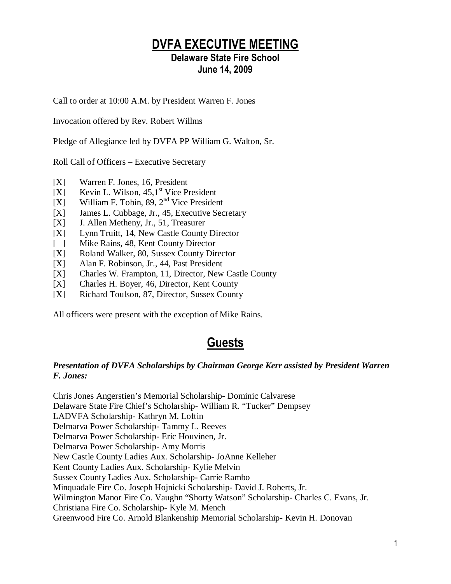### DVFA EXECUTIVE MEETING

#### Delaware State Fire School June 14, 2009

Call to order at 10:00 A.M. by President Warren F. Jones

Invocation offered by Rev. Robert Willms

Pledge of Allegiance led by DVFA PP William G. Walton, Sr.

Roll Call of Officers – Executive Secretary

- [X] Warren F. Jones, 16, President
- [X] Kevin L. Wilson,  $45.1$ <sup>st</sup> Vice President
- $[X]$  William F. Tobin, 89, 2<sup>nd</sup> Vice President
- [X] James L. Cubbage, Jr., 45, Executive Secretary
- [X] J. Allen Metheny, Jr., 51, Treasurer
- [X] Lynn Truitt, 14, New Castle County Director
- [ ] Mike Rains, 48, Kent County Director
- [X] Roland Walker, 80, Sussex County Director
- [X] Alan F. Robinson, Jr., 44, Past President
- [X] Charles W. Frampton, 11, Director, New Castle County
- [X] Charles H. Boyer, 46, Director, Kent County
- [X] Richard Toulson, 87, Director, Sussex County

All officers were present with the exception of Mike Rains.

### Guests

#### *Presentation of DVFA Scholarships by Chairman George Kerr assisted by President Warren F. Jones:*

Chris Jones Angerstien's Memorial Scholarship- Dominic Calvarese Delaware State Fire Chief's Scholarship- William R. "Tucker" Dempsey LADVFA Scholarship- Kathryn M. Loftin Delmarva Power Scholarship- Tammy L. Reeves Delmarva Power Scholarship- Eric Houvinen, Jr. Delmarva Power Scholarship- Amy Morris New Castle County Ladies Aux. Scholarship- JoAnne Kelleher Kent County Ladies Aux. Scholarship- Kylie Melvin Sussex County Ladies Aux. Scholarship- Carrie Rambo Minquadale Fire Co. Joseph Hojnicki Scholarship- David J. Roberts, Jr. Wilmington Manor Fire Co. Vaughn "Shorty Watson" Scholarship- Charles C. Evans, Jr. Christiana Fire Co. Scholarship- Kyle M. Mench Greenwood Fire Co. Arnold Blankenship Memorial Scholarship- Kevin H. Donovan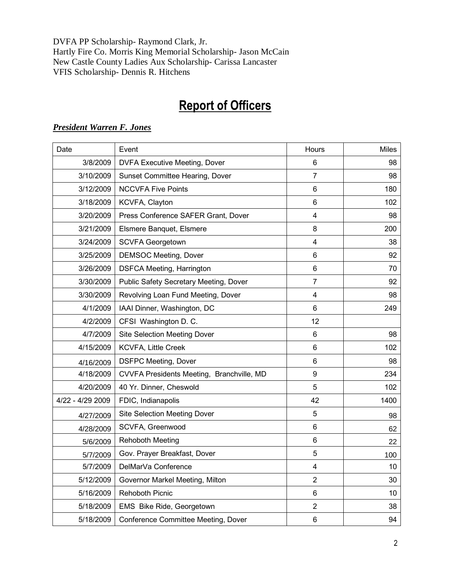DVFA PP Scholarship- Raymond Clark, Jr. Hartly Fire Co. Morris King Memorial Scholarship- Jason McCain New Castle County Ladies Aux Scholarship- Carissa Lancaster VFIS Scholarship- Dennis R. Hitchens

# Report of Officers

| Date             | Event                                     | Hours                   | <b>Miles</b> |
|------------------|-------------------------------------------|-------------------------|--------------|
| 3/8/2009         | <b>DVFA Executive Meeting, Dover</b>      | 6                       | 98           |
| 3/10/2009        | Sunset Committee Hearing, Dover           | 7                       | 98           |
| 3/12/2009        | <b>NCCVFA Five Points</b>                 | 6                       | 180          |
| 3/18/2009        | KCVFA, Clayton                            | $6\phantom{1}$          | 102          |
| 3/20/2009        | Press Conference SAFER Grant, Dover       | 4                       | 98           |
| 3/21/2009        | Elsmere Banquet, Elsmere                  | 8                       | 200          |
| 3/24/2009        | <b>SCVFA Georgetown</b>                   | 4                       | 38           |
| 3/25/2009        | <b>DEMSOC Meeting, Dover</b>              | $6\phantom{1}$          | 92           |
| 3/26/2009        | <b>DSFCA Meeting, Harrington</b>          | 6                       | 70           |
| 3/30/2009        | Public Safety Secretary Meeting, Dover    | $\overline{7}$          | 92           |
| 3/30/2009        | Revolving Loan Fund Meeting, Dover        | $\overline{\mathbf{4}}$ | 98           |
| 4/1/2009         | IAAI Dinner, Washington, DC               | 6                       | 249          |
| 4/2/2009         | CFSI Washington D. C.                     | 12                      |              |
| 4/7/2009         | <b>Site Selection Meeting Dover</b>       | $6\phantom{1}$          | 98           |
| 4/15/2009        | <b>KCVFA, Little Creek</b>                | 6                       | 102          |
| 4/16/2009        | <b>DSFPC Meeting, Dover</b>               | 6                       | 98           |
| 4/18/2009        | CVVFA Presidents Meeting, Branchville, MD | $\boldsymbol{9}$        | 234          |
| 4/20/2009        | 40 Yr. Dinner, Cheswold                   | 5                       | 102          |
| 4/22 - 4/29 2009 | FDIC, Indianapolis                        | 42                      | 1400         |
| 4/27/2009        | <b>Site Selection Meeting Dover</b>       | 5                       | 98           |
| 4/28/2009        | SCVFA, Greenwood                          | 6                       | 62           |
| 5/6/2009         | <b>Rehoboth Meeting</b>                   | $6\phantom{1}$          | 22           |
| 5/7/2009         | Gov. Prayer Breakfast, Dover              | 5                       | 100          |
| 5/7/2009         | DelMarVa Conference                       | $\overline{\mathbf{4}}$ | 10           |
| 5/12/2009        | Governor Markel Meeting, Milton           | $\overline{2}$          | 30           |
| 5/16/2009        | <b>Rehoboth Picnic</b>                    | $\,6$                   | 10           |
| 5/18/2009        | EMS Bike Ride, Georgetown                 | $\overline{2}$          | 38           |
| 5/18/2009        | Conference Committee Meeting, Dover       | 6                       | 94           |

#### *President Warren F. Jones*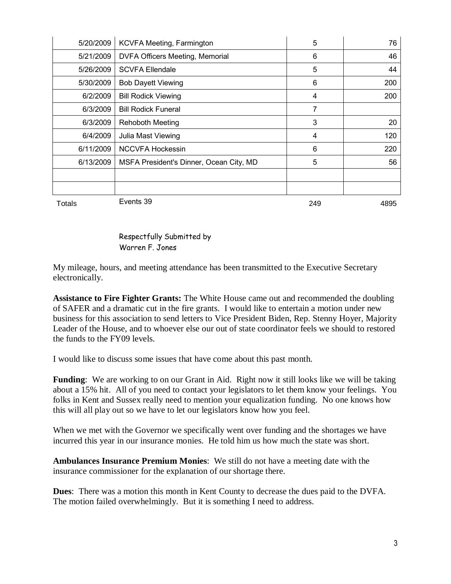| 5/20/2009 | KCVFA Meeting, Farmington               | 5   | 76   |
|-----------|-----------------------------------------|-----|------|
| 5/21/2009 | <b>DVFA Officers Meeting, Memorial</b>  | 6   | 46   |
| 5/26/2009 | <b>SCVFA Ellendale</b>                  | 5   | 44   |
| 5/30/2009 | <b>Bob Dayett Viewing</b>               | 6   | 200  |
| 6/2/2009  | <b>Bill Rodick Viewing</b>              | 4   | 200  |
| 6/3/2009  | <b>Bill Rodick Funeral</b>              | 7   |      |
| 6/3/2009  | <b>Rehoboth Meeting</b>                 | 3   | 20   |
| 6/4/2009  | Julia Mast Viewing                      | 4   | 120  |
| 6/11/2009 | <b>NCCVFA Hockessin</b>                 | 6   | 220  |
| 6/13/2009 | MSFA President's Dinner, Ocean City, MD | 5   | 56   |
|           |                                         |     |      |
|           |                                         |     |      |
| Totals    | Events 39                               | 249 | 4895 |

Respectfully Submitted by Warren F. Jones

My mileage, hours, and meeting attendance has been transmitted to the Executive Secretary electronically.

**Assistance to Fire Fighter Grants:** The White House came out and recommended the doubling of SAFER and a dramatic cut in the fire grants. I would like to entertain a motion under new business for this association to send letters to Vice President Biden, Rep. Stenny Hoyer, Majority Leader of the House, and to whoever else our out of state coordinator feels we should to restored the funds to the FY09 levels.

I would like to discuss some issues that have come about this past month.

**Funding**: We are working to on our Grant in Aid. Right now it still looks like we will be taking about a 15% hit. All of you need to contact your legislators to let them know your feelings. You folks in Kent and Sussex really need to mention your equalization funding. No one knows how this will all play out so we have to let our legislators know how you feel.

When we met with the Governor we specifically went over funding and the shortages we have incurred this year in our insurance monies. He told him us how much the state was short.

**Ambulances Insurance Premium Monies**: We still do not have a meeting date with the insurance commissioner for the explanation of our shortage there.

**Dues**: There was a motion this month in Kent County to decrease the dues paid to the DVFA. The motion failed overwhelmingly. But it is something I need to address.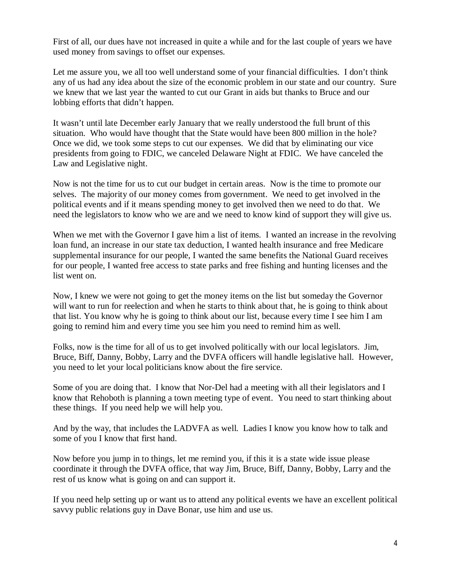First of all, our dues have not increased in quite a while and for the last couple of years we have used money from savings to offset our expenses.

Let me assure you, we all too well understand some of your financial difficulties. I don't think any of us had any idea about the size of the economic problem in our state and our country. Sure we knew that we last year the wanted to cut our Grant in aids but thanks to Bruce and our lobbing efforts that didn't happen.

It wasn't until late December early January that we really understood the full brunt of this situation. Who would have thought that the State would have been 800 million in the hole? Once we did, we took some steps to cut our expenses. We did that by eliminating our vice presidents from going to FDIC, we canceled Delaware Night at FDIC. We have canceled the Law and Legislative night.

Now is not the time for us to cut our budget in certain areas. Now is the time to promote our selves. The majority of our money comes from government. We need to get involved in the political events and if it means spending money to get involved then we need to do that. We need the legislators to know who we are and we need to know kind of support they will give us.

When we met with the Governor I gave him a list of items. I wanted an increase in the revolving loan fund, an increase in our state tax deduction, I wanted health insurance and free Medicare supplemental insurance for our people, I wanted the same benefits the National Guard receives for our people, I wanted free access to state parks and free fishing and hunting licenses and the list went on.

Now, I knew we were not going to get the money items on the list but someday the Governor will want to run for reelection and when he starts to think about that, he is going to think about that list. You know why he is going to think about our list, because every time I see him I am going to remind him and every time you see him you need to remind him as well.

Folks, now is the time for all of us to get involved politically with our local legislators. Jim, Bruce, Biff, Danny, Bobby, Larry and the DVFA officers will handle legislative hall. However, you need to let your local politicians know about the fire service.

Some of you are doing that. I know that Nor-Del had a meeting with all their legislators and I know that Rehoboth is planning a town meeting type of event. You need to start thinking about these things. If you need help we will help you.

And by the way, that includes the LADVFA as well. Ladies I know you know how to talk and some of you I know that first hand.

Now before you jump in to things, let me remind you, if this it is a state wide issue please coordinate it through the DVFA office, that way Jim, Bruce, Biff, Danny, Bobby, Larry and the rest of us know what is going on and can support it.

If you need help setting up or want us to attend any political events we have an excellent political savvy public relations guy in Dave Bonar, use him and use us.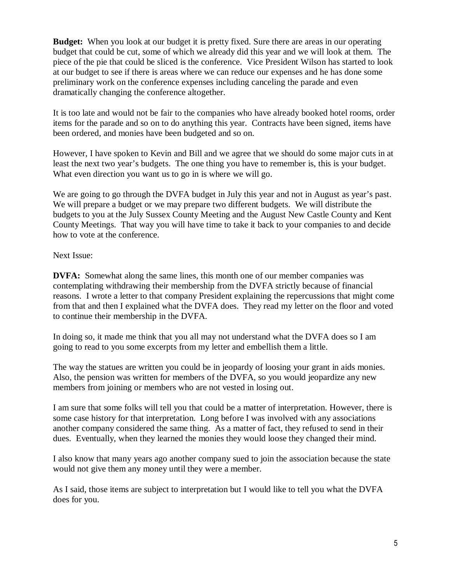**Budget:** When you look at our budget it is pretty fixed. Sure there are areas in our operating budget that could be cut, some of which we already did this year and we will look at them. The piece of the pie that could be sliced is the conference. Vice President Wilson has started to look at our budget to see if there is areas where we can reduce our expenses and he has done some preliminary work on the conference expenses including canceling the parade and even dramatically changing the conference altogether.

It is too late and would not be fair to the companies who have already booked hotel rooms, order items for the parade and so on to do anything this year. Contracts have been signed, items have been ordered, and monies have been budgeted and so on.

However, I have spoken to Kevin and Bill and we agree that we should do some major cuts in at least the next two year's budgets. The one thing you have to remember is, this is your budget. What even direction you want us to go in is where we will go.

We are going to go through the DVFA budget in July this year and not in August as year's past. We will prepare a budget or we may prepare two different budgets. We will distribute the budgets to you at the July Sussex County Meeting and the August New Castle County and Kent County Meetings. That way you will have time to take it back to your companies to and decide how to vote at the conference.

Next Issue:

**DVFA:** Somewhat along the same lines, this month one of our member companies was contemplating withdrawing their membership from the DVFA strictly because of financial reasons. I wrote a letter to that company President explaining the repercussions that might come from that and then I explained what the DVFA does. They read my letter on the floor and voted to continue their membership in the DVFA.

In doing so, it made me think that you all may not understand what the DVFA does so I am going to read to you some excerpts from my letter and embellish them a little.

The way the statues are written you could be in jeopardy of loosing your grant in aids monies. Also, the pension was written for members of the DVFA, so you would jeopardize any new members from joining or members who are not vested in losing out.

I am sure that some folks will tell you that could be a matter of interpretation. However, there is some case history for that interpretation. Long before I was involved with any associations another company considered the same thing. As a matter of fact, they refused to send in their dues. Eventually, when they learned the monies they would loose they changed their mind.

I also know that many years ago another company sued to join the association because the state would not give them any money until they were a member.

As I said, those items are subject to interpretation but I would like to tell you what the DVFA does for you.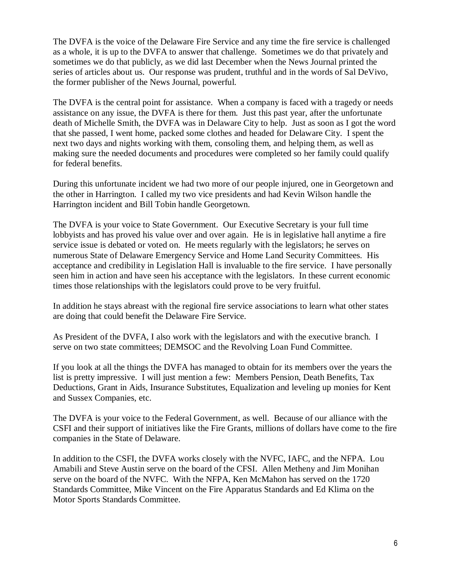The DVFA is the voice of the Delaware Fire Service and any time the fire service is challenged as a whole, it is up to the DVFA to answer that challenge. Sometimes we do that privately and sometimes we do that publicly, as we did last December when the News Journal printed the series of articles about us. Our response was prudent, truthful and in the words of Sal DeVivo, the former publisher of the News Journal, powerful.

The DVFA is the central point for assistance. When a company is faced with a tragedy or needs assistance on any issue, the DVFA is there for them. Just this past year, after the unfortunate death of Michelle Smith, the DVFA was in Delaware City to help. Just as soon as I got the word that she passed, I went home, packed some clothes and headed for Delaware City. I spent the next two days and nights working with them, consoling them, and helping them, as well as making sure the needed documents and procedures were completed so her family could qualify for federal benefits.

During this unfortunate incident we had two more of our people injured, one in Georgetown and the other in Harrington. I called my two vice presidents and had Kevin Wilson handle the Harrington incident and Bill Tobin handle Georgetown.

The DVFA is your voice to State Government. Our Executive Secretary is your full time lobbyists and has proved his value over and over again. He is in legislative hall anytime a fire service issue is debated or voted on. He meets regularly with the legislators; he serves on numerous State of Delaware Emergency Service and Home Land Security Committees. His acceptance and credibility in Legislation Hall is invaluable to the fire service. I have personally seen him in action and have seen his acceptance with the legislators. In these current economic times those relationships with the legislators could prove to be very fruitful.

In addition he stays abreast with the regional fire service associations to learn what other states are doing that could benefit the Delaware Fire Service.

As President of the DVFA, I also work with the legislators and with the executive branch. I serve on two state committees; DEMSOC and the Revolving Loan Fund Committee.

If you look at all the things the DVFA has managed to obtain for its members over the years the list is pretty impressive. I will just mention a few: Members Pension, Death Benefits, Tax Deductions, Grant in Aids, Insurance Substitutes, Equalization and leveling up monies for Kent and Sussex Companies, etc.

The DVFA is your voice to the Federal Government, as well. Because of our alliance with the CSFI and their support of initiatives like the Fire Grants, millions of dollars have come to the fire companies in the State of Delaware.

In addition to the CSFI, the DVFA works closely with the NVFC, IAFC, and the NFPA. Lou Amabili and Steve Austin serve on the board of the CFSI. Allen Metheny and Jim Monihan serve on the board of the NVFC. With the NFPA, Ken McMahon has served on the 1720 Standards Committee, Mike Vincent on the Fire Apparatus Standards and Ed Klima on the Motor Sports Standards Committee.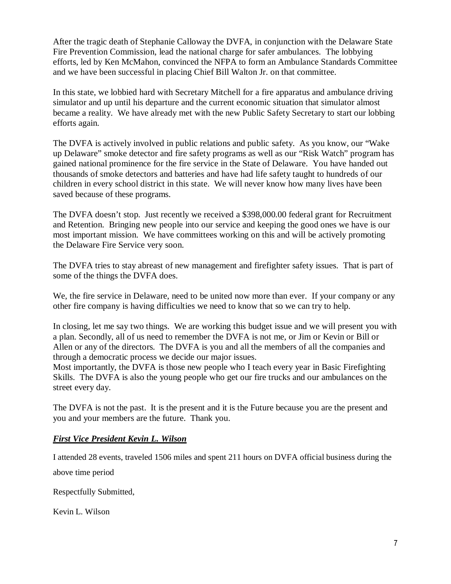After the tragic death of Stephanie Calloway the DVFA, in conjunction with the Delaware State Fire Prevention Commission, lead the national charge for safer ambulances. The lobbying efforts, led by Ken McMahon, convinced the NFPA to form an Ambulance Standards Committee and we have been successful in placing Chief Bill Walton Jr. on that committee.

In this state, we lobbied hard with Secretary Mitchell for a fire apparatus and ambulance driving simulator and up until his departure and the current economic situation that simulator almost became a reality. We have already met with the new Public Safety Secretary to start our lobbing efforts again.

The DVFA is actively involved in public relations and public safety. As you know, our "Wake up Delaware" smoke detector and fire safety programs as well as our "Risk Watch" program has gained national prominence for the fire service in the State of Delaware. You have handed out thousands of smoke detectors and batteries and have had life safety taught to hundreds of our children in every school district in this state. We will never know how many lives have been saved because of these programs.

The DVFA doesn't stop. Just recently we received a \$398,000.00 federal grant for Recruitment and Retention. Bringing new people into our service and keeping the good ones we have is our most important mission. We have committees working on this and will be actively promoting the Delaware Fire Service very soon.

The DVFA tries to stay abreast of new management and firefighter safety issues. That is part of some of the things the DVFA does.

We, the fire service in Delaware, need to be united now more than ever. If your company or any other fire company is having difficulties we need to know that so we can try to help.

In closing, let me say two things. We are working this budget issue and we will present you with a plan. Secondly, all of us need to remember the DVFA is not me, or Jim or Kevin or Bill or Allen or any of the directors. The DVFA is you and all the members of all the companies and through a democratic process we decide our major issues.

Most importantly, the DVFA is those new people who I teach every year in Basic Firefighting Skills. The DVFA is also the young people who get our fire trucks and our ambulances on the street every day.

The DVFA is not the past. It is the present and it is the Future because you are the present and you and your members are the future. Thank you.

#### *First Vice President Kevin L. Wilson*

I attended 28 events, traveled 1506 miles and spent 211 hours on DVFA official business during the above time period

Respectfully Submitted,

Kevin L. Wilson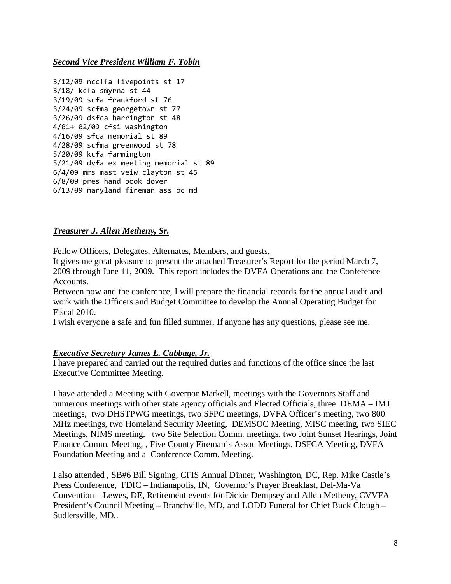#### *Second Vice President William F. Tobin*

```
3/12/09 nccffa fivepoints st 17 
3/18/ kcfa smyrna st 44 
3/19/09 scfa frankford st 76 
3/24/09 scfma georgetown st 77 
3/26/09 dsfca harrington st 48 
4/01+ 02/09 cfsi washington 
4/16/09 sfca memorial st 89 
4/28/09 scfma greenwood st 78 
5/20/09 kcfa farmington 
5/21/09 dvfa ex meeting memorial st 89 
6/4/09 mrs mast veiw clayton st 45 
6/8/09 pres hand book dover 
6/13/09 maryland fireman ass oc md
```
#### *Treasurer J. Allen Metheny, Sr.*

Fellow Officers, Delegates, Alternates, Members, and guests,

It gives me great pleasure to present the attached Treasurer's Report for the period March 7, 2009 through June 11, 2009. This report includes the DVFA Operations and the Conference Accounts.

Between now and the conference, I will prepare the financial records for the annual audit and work with the Officers and Budget Committee to develop the Annual Operating Budget for Fiscal 2010.

I wish everyone a safe and fun filled summer. If anyone has any questions, please see me.

#### *Executive Secretary James L. Cubbage, Jr.*

I have prepared and carried out the required duties and functions of the office since the last Executive Committee Meeting.

I have attended a Meeting with Governor Markell, meetings with the Governors Staff and numerous meetings with other state agency officials and Elected Officials, three DEMA – IMT meetings, two DHSTPWG meetings, two SFPC meetings, DVFA Officer's meeting, two 800 MHz meetings, two Homeland Security Meeting, DEMSOC Meeting, MISC meeting, two SIEC Meetings, NIMS meeting, two Site Selection Comm. meetings, two Joint Sunset Hearings, Joint Finance Comm. Meeting, , Five County Fireman's Assoc Meetings, DSFCA Meeting, DVFA Foundation Meeting and a Conference Comm. Meeting.

I also attended , SB#6 Bill Signing, CFIS Annual Dinner, Washington, DC, Rep. Mike Castle's Press Conference, FDIC – Indianapolis, IN, Governor's Prayer Breakfast, Del-Ma-Va Convention – Lewes, DE, Retirement events for Dickie Dempsey and Allen Metheny, CVVFA President's Council Meeting – Branchville, MD, and LODD Funeral for Chief Buck Clough – Sudlersville, MD..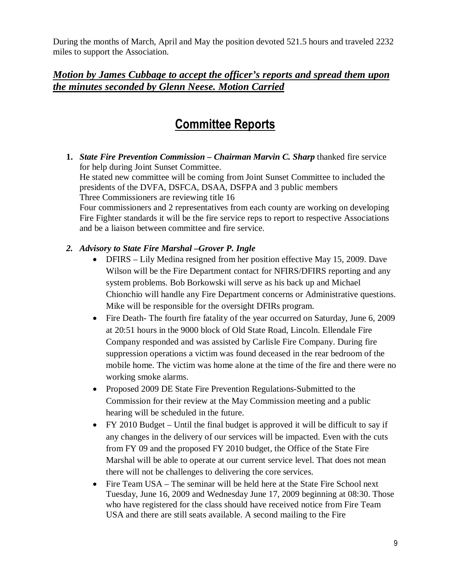During the months of March, April and May the position devoted 521.5 hours and traveled 2232 miles to support the Association.

### *Motion by James Cubbage to accept the officer's reports and spread them upon the minutes seconded by Glenn Neese. Motion Carried*

## Committee Reports

**1.** *State Fire Prevention Commission – Chairman Marvin C. Sharp* thanked fire service for help during Joint Sunset Committee.

He stated new committee will be coming from Joint Sunset Committee to included the presidents of the DVFA, DSFCA, DSAA, DSFPA and 3 public members Three Commissioners are reviewing title 16

Four commissioners and 2 representatives from each county are working on developing Fire Fighter standards it will be the fire service reps to report to respective Associations and be a liaison between committee and fire service.

#### *2. Advisory to State Fire Marshal –Grover P. Ingle*

- DFIRS Lily Medina resigned from her position effective May 15, 2009. Dave Wilson will be the Fire Department contact for NFIRS/DFIRS reporting and any system problems. Bob Borkowski will serve as his back up and Michael Chionchio will handle any Fire Department concerns or Administrative questions. Mike will be responsible for the oversight DFIRs program.
- Fire Death- The fourth fire fatality of the year occurred on Saturday, June 6, 2009 at 20:51 hours in the 9000 block of Old State Road, Lincoln. Ellendale Fire Company responded and was assisted by Carlisle Fire Company. During fire suppression operations a victim was found deceased in the rear bedroom of the mobile home. The victim was home alone at the time of the fire and there were no working smoke alarms.
- Proposed 2009 DE State Fire Prevention Regulations-Submitted to the Commission for their review at the May Commission meeting and a public hearing will be scheduled in the future.
- FY 2010 Budget Until the final budget is approved it will be difficult to say if any changes in the delivery of our services will be impacted. Even with the cuts from FY 09 and the proposed FY 2010 budget, the Office of the State Fire Marshal will be able to operate at our current service level. That does not mean there will not be challenges to delivering the core services.
- Fire Team USA The seminar will be held here at the State Fire School next Tuesday, June 16, 2009 and Wednesday June 17, 2009 beginning at 08:30. Those who have registered for the class should have received notice from Fire Team USA and there are still seats available. A second mailing to the Fire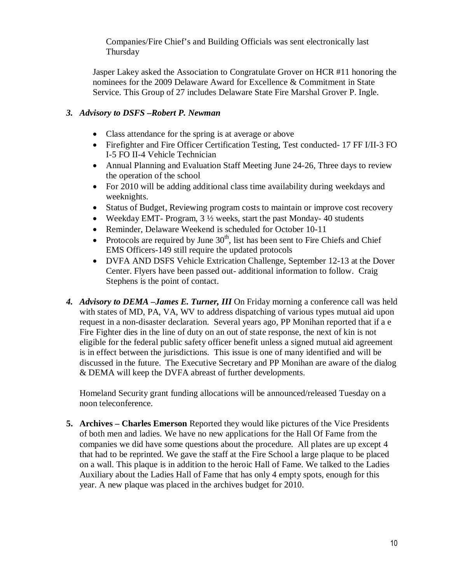Companies/Fire Chief's and Building Officials was sent electronically last Thursday

Jasper Lakey asked the Association to Congratulate Grover on HCR #11 honoring the nominees for the 2009 Delaware Award for Excellence & Commitment in State Service. This Group of 27 includes Delaware State Fire Marshal Grover P. Ingle.

#### *3. Advisory to DSFS –Robert P. Newman*

- Class attendance for the spring is at average or above
- Firefighter and Fire Officer Certification Testing, Test conducted- 17 FF I/II-3 FO I-5 FO II-4 Vehicle Technician
- Annual Planning and Evaluation Staff Meeting June 24-26, Three days to review the operation of the school
- For 2010 will be adding additional class time availability during weekdays and weeknights.
- Status of Budget, Reviewing program costs to maintain or improve cost recovery
- Weekday EMT- Program,  $3\frac{1}{2}$  weeks, start the past Monday-40 students
- Reminder, Delaware Weekend is scheduled for October 10-11
- Protocols are required by June  $30<sup>th</sup>$ , list has been sent to Fire Chiefs and Chief EMS Officers-149 still require the updated protocols
- DVFA AND DSFS Vehicle Extrication Challenge, September 12-13 at the Dover Center. Flyers have been passed out- additional information to follow. Craig Stephens is the point of contact.
- *4. Advisory to DEMA –James E. Turner, III* On Friday morning a conference call was held with states of MD, PA, VA, WV to address dispatching of various types mutual aid upon request in a non-disaster declaration. Several years ago, PP Monihan reported that if a e Fire Fighter dies in the line of duty on an out of state response, the next of kin is not eligible for the federal public safety officer benefit unless a signed mutual aid agreement is in effect between the jurisdictions. This issue is one of many identified and will be discussed in the future. The Executive Secretary and PP Monihan are aware of the dialog & DEMA will keep the DVFA abreast of further developments.

Homeland Security grant funding allocations will be announced/released Tuesday on a noon teleconference.

**5. Archives – Charles Emerson** Reported they would like pictures of the Vice Presidents of both men and ladies. We have no new applications for the Hall Of Fame from the companies we did have some questions about the procedure. All plates are up except 4 that had to be reprinted. We gave the staff at the Fire School a large plaque to be placed on a wall. This plaque is in addition to the heroic Hall of Fame. We talked to the Ladies Auxiliary about the Ladies Hall of Fame that has only 4 empty spots, enough for this year. A new plaque was placed in the archives budget for 2010.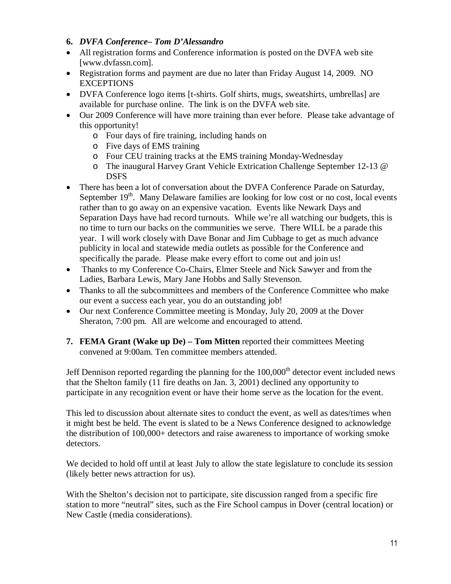#### **6.** *DVFA Conference– Tom D'Alessandro*

- All registration forms and Conference information is posted on the DVFA web site [www.dvfassn.com].
- Registration forms and payment are due no later than Friday August 14, 2009. NO **EXCEPTIONS**
- DVFA Conference logo items [t-shirts. Golf shirts, mugs, sweatshirts, umbrellas] are available for purchase online. The link is on the DVFA web site.
- Our 2009 Conference will have more training than ever before. Please take advantage of this opportunity!
	- o Four days of fire training, including hands on
	- o Five days of EMS training
	- o Four CEU training tracks at the EMS training Monday-Wednesday
	- o The inaugural Harvey Grant Vehicle Extrication Challenge September 12-13 @ DSFS
- There has been a lot of conversation about the DVFA Conference Parade on Saturday, September  $19<sup>th</sup>$ . Many Delaware families are looking for low cost or no cost, local events rather than to go away on an expensive vacation. Events like Newark Days and Separation Days have had record turnouts. While we're all watching our budgets, this is no time to turn our backs on the communities we serve. There WILL be a parade this year. I will work closely with Dave Bonar and Jim Cubbage to get as much advance publicity in local and statewide media outlets as possible for the Conference and specifically the parade. Please make every effort to come out and join us!
- Thanks to my Conference Co-Chairs, Elmer Steele and Nick Sawyer and from the Ladies, Barbara Lewis, Mary Jane Hobbs and Sally Stevenson.
- Thanks to all the subcommittees and members of the Conference Committee who make our event a success each year, you do an outstanding job!
- Our next Conference Committee meeting is Monday, July 20, 2009 at the Dover Sheraton, 7:00 pm. All are welcome and encouraged to attend.
- **7. FEMA Grant (Wake up De) Tom Mitten** reported their committees Meeting convened at 9:00am. Ten committee members attended.

Jeff Dennison reported regarding the planning for the  $100,000<sup>th</sup>$  detector event included news that the Shelton family (11 fire deaths on Jan. 3, 2001) declined any opportunity to participate in any recognition event or have their home serve as the location for the event.

This led to discussion about alternate sites to conduct the event, as well as dates/times when it might best be held. The event is slated to be a News Conference designed to acknowledge the distribution of 100,000+ detectors and raise awareness to importance of working smoke detectors.

We decided to hold off until at least July to allow the state legislature to conclude its session (likely better news attraction for us).

With the Shelton's decision not to participate, site discussion ranged from a specific fire station to more "neutral" sites, such as the Fire School campus in Dover (central location) or New Castle (media considerations).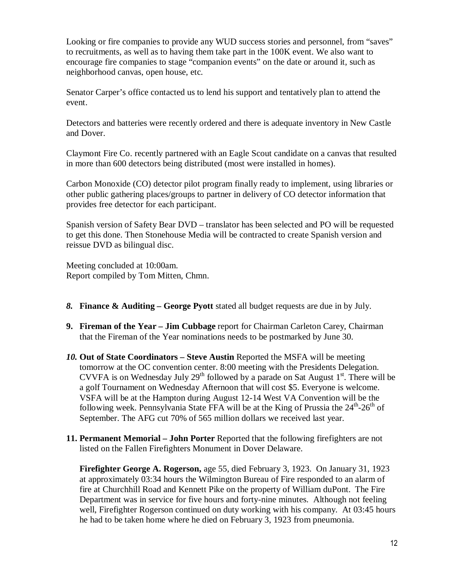Looking or fire companies to provide any WUD success stories and personnel, from "saves" to recruitments, as well as to having them take part in the 100K event. We also want to encourage fire companies to stage "companion events" on the date or around it, such as neighborhood canvas, open house, etc.

Senator Carper's office contacted us to lend his support and tentatively plan to attend the event.

Detectors and batteries were recently ordered and there is adequate inventory in New Castle and Dover.

Claymont Fire Co. recently partnered with an Eagle Scout candidate on a canvas that resulted in more than 600 detectors being distributed (most were installed in homes).

Carbon Monoxide (CO) detector pilot program finally ready to implement, using libraries or other public gathering places/groups to partner in delivery of CO detector information that provides free detector for each participant.

Spanish version of Safety Bear DVD – translator has been selected and PO will be requested to get this done. Then Stonehouse Media will be contracted to create Spanish version and reissue DVD as bilingual disc.

Meeting concluded at 10:00am. Report compiled by Tom Mitten, Chmn.

- *8.* **Finance & Auditing****George Pyott** stated all budget requests are due in by July.
- **9. Fireman of the Year – Jim Cubbage** report for Chairman Carleton Carey, Chairman that the Fireman of the Year nominations needs to be postmarked by June 30.
- *10.* **Out of State Coordinators Steve Austin** Reported the MSFA will be meeting tomorrow at the OC convention center. 8:00 meeting with the Presidents Delegation. CVVFA is on Wednesday July 29<sup>th</sup> followed by a parade on Sat August  $1<sup>st</sup>$ . There will be a golf Tournament on Wednesday Afternoon that will cost \$5. Everyone is welcome. VSFA will be at the Hampton during August 12-14 West VA Convention will be the following week. Pennsylvania State FFA will be at the King of Prussia the  $24<sup>th</sup>$ - $26<sup>th</sup>$  of September. The AFG cut 70% of 565 million dollars we received last year.
- **11. Permanent Memorial John Porter** Reported that the following firefighters are not listed on the Fallen Firefighters Monument in Dover Delaware.

**Firefighter George A. Rogerson,** age 55, died February 3, 1923. On January 31, 1923 at approximately 03:34 hours the Wilmington Bureau of Fire responded to an alarm of fire at Churchhill Road and Kennett Pike on the property of William duPont. The Fire Department was in service for five hours and forty-nine minutes. Although not feeling well, Firefighter Rogerson continued on duty working with his company. At 03:45 hours he had to be taken home where he died on February 3, 1923 from pneumonia.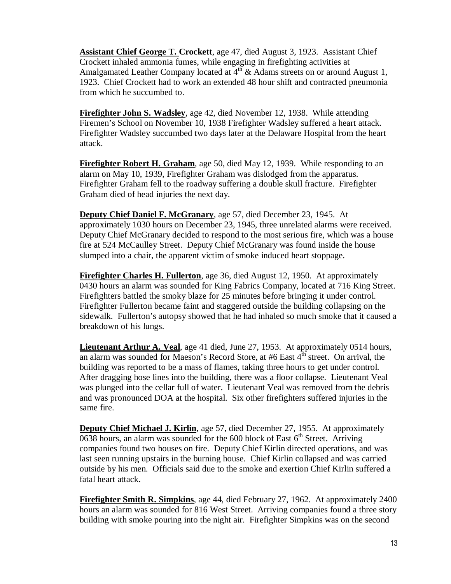**Assistant Chief George T. Crockett**, age 47, died August 3, 1923. Assistant Chief Crockett inhaled ammonia fumes, while engaging in firefighting activities at Amalgamated Leather Company located at  $4<sup>th</sup>$  & Adams streets on or around August 1, 1923. Chief Crockett had to work an extended 48 hour shift and contracted pneumonia from which he succumbed to.

**Firefighter John S. Wadsley**, age 42, died November 12, 1938. While attending Firemen's School on November 10, 1938 Firefighter Wadsley suffered a heart attack. Firefighter Wadsley succumbed two days later at the Delaware Hospital from the heart attack.

**Firefighter Robert H. Graham**, age 50, died May 12, 1939. While responding to an alarm on May 10, 1939, Firefighter Graham was dislodged from the apparatus. Firefighter Graham fell to the roadway suffering a double skull fracture. Firefighter Graham died of head injuries the next day.

**Deputy Chief Daniel F. McGranary**, age 57, died December 23, 1945. At approximately 1030 hours on December 23, 1945, three unrelated alarms were received. Deputy Chief McGranary decided to respond to the most serious fire, which was a house fire at 524 McCaulley Street. Deputy Chief McGranary was found inside the house slumped into a chair, the apparent victim of smoke induced heart stoppage.

**Firefighter Charles H. Fullerton**, age 36, died August 12, 1950. At approximately 0430 hours an alarm was sounded for King Fabrics Company, located at 716 King Street. Firefighters battled the smoky blaze for 25 minutes before bringing it under control. Firefighter Fullerton became faint and staggered outside the building collapsing on the sidewalk. Fullerton's autopsy showed that he had inhaled so much smoke that it caused a breakdown of his lungs.

**Lieutenant Arthur A. Veal**, age 41 died, June 27, 1953. At approximately 0514 hours, an alarm was sounded for Maeson's Record Store, at  $#6$  East  $4<sup>th</sup>$  street. On arrival, the building was reported to be a mass of flames, taking three hours to get under control. After dragging hose lines into the building, there was a floor collapse. Lieutenant Veal was plunged into the cellar full of water. Lieutenant Veal was removed from the debris and was pronounced DOA at the hospital. Six other firefighters suffered injuries in the same fire.

**Deputy Chief Michael J. Kirlin**, age 57, died December 27, 1955. At approximately 0638 hours, an alarm was sounded for the 600 block of East  $6<sup>th</sup>$  Street. Arriving companies found two houses on fire. Deputy Chief Kirlin directed operations, and was last seen running upstairs in the burning house. Chief Kirlin collapsed and was carried outside by his men. Officials said due to the smoke and exertion Chief Kirlin suffered a fatal heart attack.

**Firefighter Smith R. Simpkins**, age 44, died February 27, 1962. At approximately 2400 hours an alarm was sounded for 816 West Street. Arriving companies found a three story building with smoke pouring into the night air. Firefighter Simpkins was on the second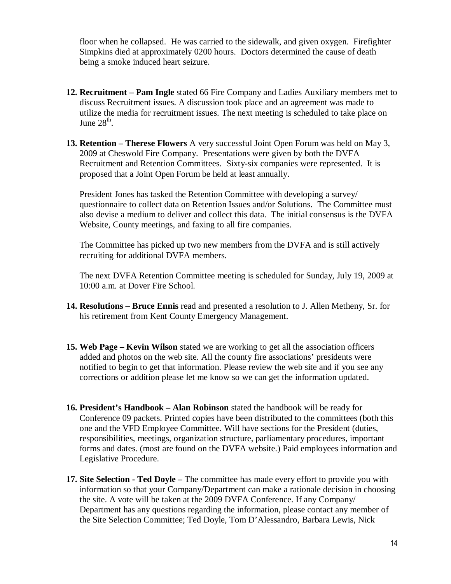floor when he collapsed. He was carried to the sidewalk, and given oxygen. Firefighter Simpkins died at approximately 0200 hours. Doctors determined the cause of death being a smoke induced heart seizure.

- **12. Recruitment Pam Ingle** stated 66 Fire Company and Ladies Auxiliary members met to discuss Recruitment issues. A discussion took place and an agreement was made to utilize the media for recruitment issues. The next meeting is scheduled to take place on June  $28<sup>th</sup>$ .
- **13. Retention Therese Flowers** A very successful Joint Open Forum was held on May 3, 2009 at Cheswold Fire Company. Presentations were given by both the DVFA Recruitment and Retention Committees. Sixty-six companies were represented. It is proposed that a Joint Open Forum be held at least annually.

President Jones has tasked the Retention Committee with developing a survey/ questionnaire to collect data on Retention Issues and/or Solutions. The Committee must also devise a medium to deliver and collect this data. The initial consensus is the DVFA Website, County meetings, and faxing to all fire companies.

The Committee has picked up two new members from the DVFA and is still actively recruiting for additional DVFA members.

The next DVFA Retention Committee meeting is scheduled for Sunday, July 19, 2009 at 10:00 a.m. at Dover Fire School.

- **14. Resolutions Bruce Ennis** read and presented a resolution to J. Allen Metheny, Sr. for his retirement from Kent County Emergency Management.
- **15. Web Page Kevin Wilson** stated we are working to get all the association officers added and photos on the web site. All the county fire associations' presidents were notified to begin to get that information. Please review the web site and if you see any corrections or addition please let me know so we can get the information updated.
- **16. President's Handbook Alan Robinson** stated the handbook will be ready for Conference 09 packets. Printed copies have been distributed to the committees (both this one and the VFD Employee Committee. Will have sections for the President (duties, responsibilities, meetings, organization structure, parliamentary procedures, important forms and dates. (most are found on the DVFA website.) Paid employees information and Legislative Procedure.
- **17. Site Selection Ted Doyle** The committee has made every effort to provide you with information so that your Company/Department can make a rationale decision in choosing the site. A vote will be taken at the 2009 DVFA Conference. If any Company/ Department has any questions regarding the information, please contact any member of the Site Selection Committee; Ted Doyle, Tom D'Alessandro, Barbara Lewis, Nick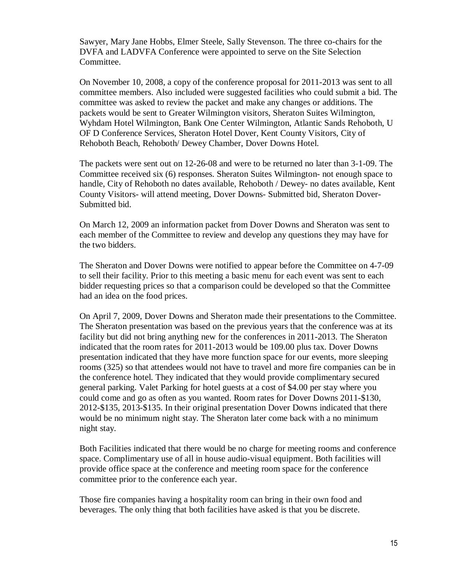Sawyer, Mary Jane Hobbs, Elmer Steele, Sally Stevenson. The three co-chairs for the DVFA and LADVFA Conference were appointed to serve on the Site Selection Committee.

On November 10, 2008, a copy of the conference proposal for 2011-2013 was sent to all committee members. Also included were suggested facilities who could submit a bid. The committee was asked to review the packet and make any changes or additions. The packets would be sent to Greater Wilmington visitors, Sheraton Suites Wilmington, Wyhdam Hotel Wilmington, Bank One Center Wilmington, Atlantic Sands Rehoboth, U OF D Conference Services, Sheraton Hotel Dover, Kent County Visitors, City of Rehoboth Beach, Rehoboth/ Dewey Chamber, Dover Downs Hotel.

The packets were sent out on 12-26-08 and were to be returned no later than 3-1-09. The Committee received six (6) responses. Sheraton Suites Wilmington- not enough space to handle, City of Rehoboth no dates available, Rehoboth / Dewey- no dates available, Kent County Visitors- will attend meeting, Dover Downs- Submitted bid, Sheraton Dover-Submitted bid.

On March 12, 2009 an information packet from Dover Downs and Sheraton was sent to each member of the Committee to review and develop any questions they may have for the two bidders.

The Sheraton and Dover Downs were notified to appear before the Committee on 4-7-09 to sell their facility. Prior to this meeting a basic menu for each event was sent to each bidder requesting prices so that a comparison could be developed so that the Committee had an idea on the food prices.

On April 7, 2009, Dover Downs and Sheraton made their presentations to the Committee. The Sheraton presentation was based on the previous years that the conference was at its facility but did not bring anything new for the conferences in 2011-2013. The Sheraton indicated that the room rates for 2011-2013 would be 109.00 plus tax. Dover Downs presentation indicated that they have more function space for our events, more sleeping rooms (325) so that attendees would not have to travel and more fire companies can be in the conference hotel. They indicated that they would provide complimentary secured general parking. Valet Parking for hotel guests at a cost of \$4.00 per stay where you could come and go as often as you wanted. Room rates for Dover Downs 2011-\$130, 2012-\$135, 2013-\$135. In their original presentation Dover Downs indicated that there would be no minimum night stay. The Sheraton later come back with a no minimum night stay.

Both Facilities indicated that there would be no charge for meeting rooms and conference space. Complimentary use of all in house audio-visual equipment. Both facilities will provide office space at the conference and meeting room space for the conference committee prior to the conference each year.

Those fire companies having a hospitality room can bring in their own food and beverages. The only thing that both facilities have asked is that you be discrete.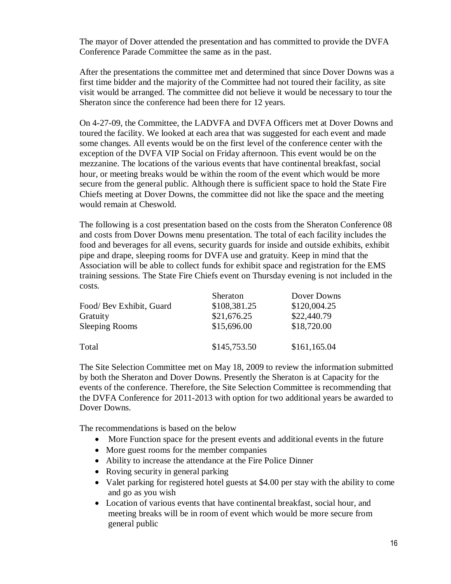The mayor of Dover attended the presentation and has committed to provide the DVFA Conference Parade Committee the same as in the past.

After the presentations the committee met and determined that since Dover Downs was a first time bidder and the majority of the Committee had not toured their facility, as site visit would be arranged. The committee did not believe it would be necessary to tour the Sheraton since the conference had been there for 12 years.

On 4-27-09, the Committee, the LADVFA and DVFA Officers met at Dover Downs and toured the facility. We looked at each area that was suggested for each event and made some changes. All events would be on the first level of the conference center with the exception of the DVFA VIP Social on Friday afternoon. This event would be on the mezzanine. The locations of the various events that have continental breakfast, social hour, or meeting breaks would be within the room of the event which would be more secure from the general public. Although there is sufficient space to hold the State Fire Chiefs meeting at Dover Downs, the committee did not like the space and the meeting would remain at Cheswold.

The following is a cost presentation based on the costs from the Sheraton Conference 08 and costs from Dover Downs menu presentation. The total of each facility includes the food and beverages for all evens, security guards for inside and outside exhibits, exhibit pipe and drape, sleeping rooms for DVFA use and gratuity. Keep in mind that the Association will be able to collect funds for exhibit space and registration for the EMS training sessions. The State Fire Chiefs event on Thursday evening is not included in the costs.

|                         | Sheraton     | Dover Downs  |  |
|-------------------------|--------------|--------------|--|
| Food/Bev Exhibit, Guard | \$108,381.25 | \$120,004.25 |  |
| Gratuity                | \$21,676.25  | \$22,440.79  |  |
| <b>Sleeping Rooms</b>   | \$15,696.00  | \$18,720.00  |  |
| Total                   | \$145,753.50 | \$161,165.04 |  |

The Site Selection Committee met on May 18, 2009 to review the information submitted by both the Sheraton and Dover Downs. Presently the Sheraton is at Capacity for the events of the conference. Therefore, the Site Selection Committee is recommending that the DVFA Conference for 2011-2013 with option for two additional years be awarded to Dover Downs.

The recommendations is based on the below

- More Function space for the present events and additional events in the future
- More guest rooms for the member companies
- Ability to increase the attendance at the Fire Police Dinner
- Roving security in general parking
- Valet parking for registered hotel guests at \$4.00 per stay with the ability to come and go as you wish
- Location of various events that have continental breakfast, social hour, and meeting breaks will be in room of event which would be more secure from general public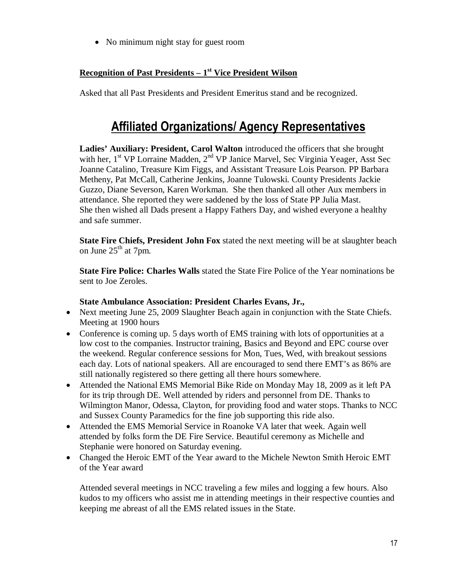• No minimum night stay for guest room

#### **Recognition of Past Presidents – 1st Vice President Wilson**

Asked that all Past Presidents and President Emeritus stand and be recognized.

## Affiliated Organizations/ Agency Representatives

**Ladies' Auxiliary: President, Carol Walton** introduced the officers that she brought with her,  $1<sup>st</sup> VP$  Lorraine Madden,  $2<sup>nd</sup> VP$  Janice Marvel, Sec Virginia Yeager, Asst Sec Joanne Catalino, Treasure Kim Figgs, and Assistant Treasure Lois Pearson. PP Barbara Metheny, Pat McCall, Catherine Jenkins, Joanne Tulowski. County Presidents Jackie Guzzo, Diane Severson, Karen Workman. She then thanked all other Aux members in attendance. She reported they were saddened by the loss of State PP Julia Mast. She then wished all Dads present a Happy Fathers Day, and wished everyone a healthy and safe summer.

**State Fire Chiefs, President John Fox** stated the next meeting will be at slaughter beach on June  $25<sup>th</sup>$  at 7pm.

**State Fire Police: Charles Walls** stated the State Fire Police of the Year nominations be sent to Joe Zeroles.

#### **State Ambulance Association: President Charles Evans, Jr.,**

- Next meeting June 25, 2009 Slaughter Beach again in conjunction with the State Chiefs. Meeting at 1900 hours
- Conference is coming up. 5 days worth of EMS training with lots of opportunities at a low cost to the companies. Instructor training, Basics and Beyond and EPC course over the weekend. Regular conference sessions for Mon, Tues, Wed, with breakout sessions each day. Lots of national speakers. All are encouraged to send there EMT's as 86% are still nationally registered so there getting all there hours somewhere.
- Attended the National EMS Memorial Bike Ride on Monday May 18, 2009 as it left PA for its trip through DE. Well attended by riders and personnel from DE. Thanks to Wilmington Manor, Odessa, Clayton, for providing food and water stops. Thanks to NCC and Sussex County Paramedics for the fine job supporting this ride also.
- Attended the EMS Memorial Service in Roanoke VA later that week. Again well attended by folks form the DE Fire Service. Beautiful ceremony as Michelle and Stephanie were honored on Saturday evening.
- Changed the Heroic EMT of the Year award to the Michele Newton Smith Heroic EMT of the Year award

Attended several meetings in NCC traveling a few miles and logging a few hours. Also kudos to my officers who assist me in attending meetings in their respective counties and keeping me abreast of all the EMS related issues in the State.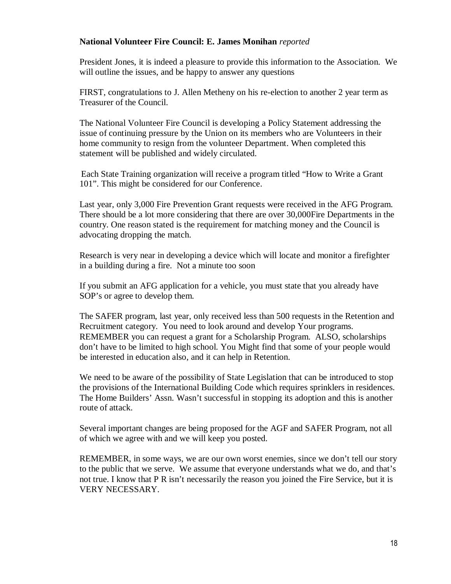#### **National Volunteer Fire Council: E. James Monihan** *reported*

President Jones, it is indeed a pleasure to provide this information to the Association. We will outline the issues, and be happy to answer any questions

FIRST, congratulations to J. Allen Metheny on his re-election to another 2 year term as Treasurer of the Council.

The National Volunteer Fire Council is developing a Policy Statement addressing the issue of continuing pressure by the Union on its members who are Volunteers in their home community to resign from the volunteer Department. When completed this statement will be published and widely circulated.

Each State Training organization will receive a program titled "How to Write a Grant 101". This might be considered for our Conference.

Last year, only 3,000 Fire Prevention Grant requests were received in the AFG Program. There should be a lot more considering that there are over 30,000Fire Departments in the country. One reason stated is the requirement for matching money and the Council is advocating dropping the match.

Research is very near in developing a device which will locate and monitor a firefighter in a building during a fire. Not a minute too soon

If you submit an AFG application for a vehicle, you must state that you already have SOP's or agree to develop them.

The SAFER program, last year, only received less than 500 requests in the Retention and Recruitment category. You need to look around and develop Your programs. REMEMBER you can request a grant for a Scholarship Program. ALSO, scholarships don't have to be limited to high school. You Might find that some of your people would be interested in education also, and it can help in Retention.

We need to be aware of the possibility of State Legislation that can be introduced to stop the provisions of the International Building Code which requires sprinklers in residences. The Home Builders' Assn. Wasn't successful in stopping its adoption and this is another route of attack.

Several important changes are being proposed for the AGF and SAFER Program, not all of which we agree with and we will keep you posted.

REMEMBER, in some ways, we are our own worst enemies, since we don't tell our story to the public that we serve. We assume that everyone understands what we do, and that's not true. I know that P R isn't necessarily the reason you joined the Fire Service, but it is VERY NECESSARY.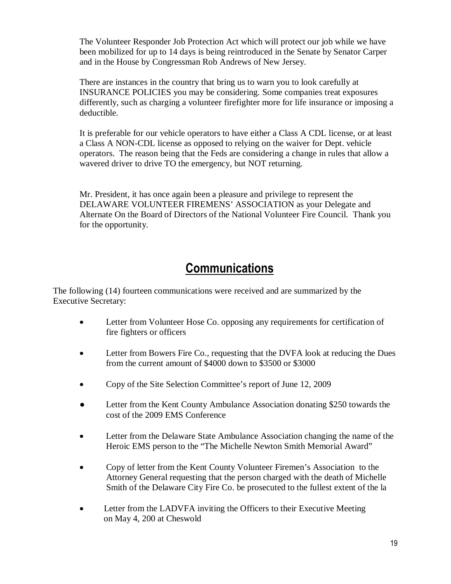The Volunteer Responder Job Protection Act which will protect our job while we have been mobilized for up to 14 days is being reintroduced in the Senate by Senator Carper and in the House by Congressman Rob Andrews of New Jersey.

There are instances in the country that bring us to warn you to look carefully at INSURANCE POLICIES you may be considering. Some companies treat exposures differently, such as charging a volunteer firefighter more for life insurance or imposing a deductible.

It is preferable for our vehicle operators to have either a Class A CDL license, or at least a Class A NON-CDL license as opposed to relying on the waiver for Dept. vehicle operators. The reason being that the Feds are considering a change in rules that allow a wavered driver to drive TO the emergency, but NOT returning.

Mr. President, it has once again been a pleasure and privilege to represent the DELAWARE VOLUNTEER FIREMENS' ASSOCIATION as your Delegate and Alternate On the Board of Directors of the National Volunteer Fire Council. Thank you for the opportunity.

## **Communications**

The following (14) fourteen communications were received and are summarized by the Executive Secretary:

- Letter from Volunteer Hose Co. opposing any requirements for certification of fire fighters or officers
- Letter from Bowers Fire Co., requesting that the DVFA look at reducing the Dues from the current amount of \$4000 down to \$3500 or \$3000
- Copy of the Site Selection Committee's report of June 12, 2009
- Letter from the Kent County Ambulance Association donating \$250 towards the cost of the 2009 EMS Conference
- Letter from the Delaware State Ambulance Association changing the name of the Heroic EMS person to the "The Michelle Newton Smith Memorial Award"
- Copy of letter from the Kent County Volunteer Firemen's Association to the Attorney General requesting that the person charged with the death of Michelle Smith of the Delaware City Fire Co. be prosecuted to the fullest extent of the la
- Letter from the LADVFA inviting the Officers to their Executive Meeting on May 4, 200 at Cheswold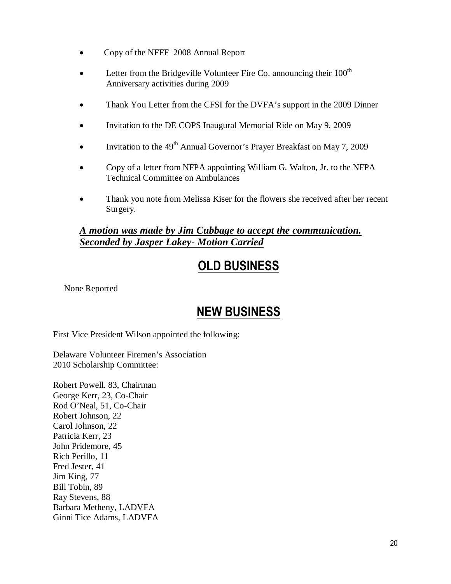- Copy of the NFFF 2008 Annual Report
- Letter from the Bridgeville Volunteer Fire Co. announcing their  $100<sup>th</sup>$ Anniversary activities during 2009
- Thank You Letter from the CFSI for the DVFA's support in the 2009 Dinner
- Invitation to the DE COPS Inaugural Memorial Ride on May 9, 2009
- Invitation to the  $49<sup>th</sup>$  Annual Governor's Prayer Breakfast on May 7, 2009
- Copy of a letter from NFPA appointing William G. Walton, Jr. to the NFPA Technical Committee on Ambulances
- Thank you note from Melissa Kiser for the flowers she received after her recent Surgery.

#### *A motion was made by Jim Cubbage to accept the communication. Seconded by Jasper Lakey- Motion Carried*

# OLD BUSINESS

None Reported

## NEW BUSINESS

First Vice President Wilson appointed the following:

Delaware Volunteer Firemen's Association 2010 Scholarship Committee:

Robert Powell. 83, Chairman George Kerr, 23, Co-Chair Rod O'Neal, 51, Co-Chair Robert Johnson, 22 Carol Johnson, 22 Patricia Kerr, 23 John Pridemore, 45 Rich Perillo, 11 Fred Jester, 41 Jim King, 77 Bill Tobin, 89 Ray Stevens, 88 Barbara Metheny, LADVFA Ginni Tice Adams, LADVFA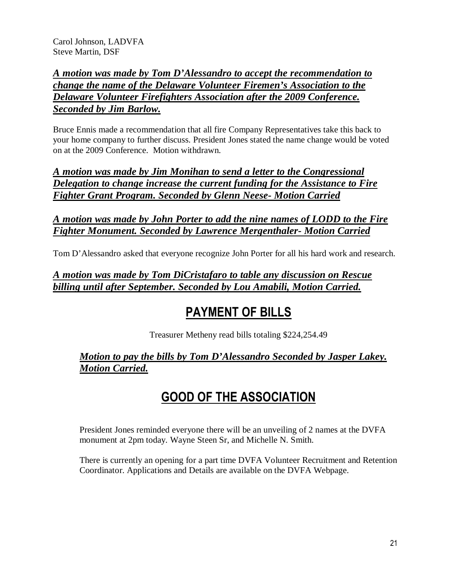Carol Johnson, LADVFA Steve Martin, DSF

### *A motion was made by Tom D'Alessandro to accept the recommendation to change the name of the Delaware Volunteer Firemen's Association to the Delaware Volunteer Firefighters Association after the 2009 Conference. Seconded by Jim Barlow.*

Bruce Ennis made a recommendation that all fire Company Representatives take this back to your home company to further discuss. President Jones stated the name change would be voted on at the 2009 Conference. Motion withdrawn.

*A motion was made by Jim Monihan to send a letter to the Congressional Delegation to change increase the current funding for the Assistance to Fire Fighter Grant Program. Seconded by Glenn Neese- Motion Carried*

### *A motion was made by John Porter to add the nine names of LODD to the Fire Fighter Monument. Seconded by Lawrence Mergenthaler- Motion Carried*

Tom D'Alessandro asked that everyone recognize John Porter for all his hard work and research.

### *A motion was made by Tom DiCristafaro to table any discussion on Rescue billing until after September. Seconded by Lou Amabili, Motion Carried.*

## PAYMENT OF BILLS

Treasurer Metheny read bills totaling \$224,254.49

### *Motion to pay the bills by Tom D'Alessandro Seconded by Jasper Lakey. Motion Carried.*

## GOOD OF THE ASSOCIATION

President Jones reminded everyone there will be an unveiling of 2 names at the DVFA monument at 2pm today. Wayne Steen Sr, and Michelle N. Smith.

There is currently an opening for a part time DVFA Volunteer Recruitment and Retention Coordinator. Applications and Details are available on the DVFA Webpage.